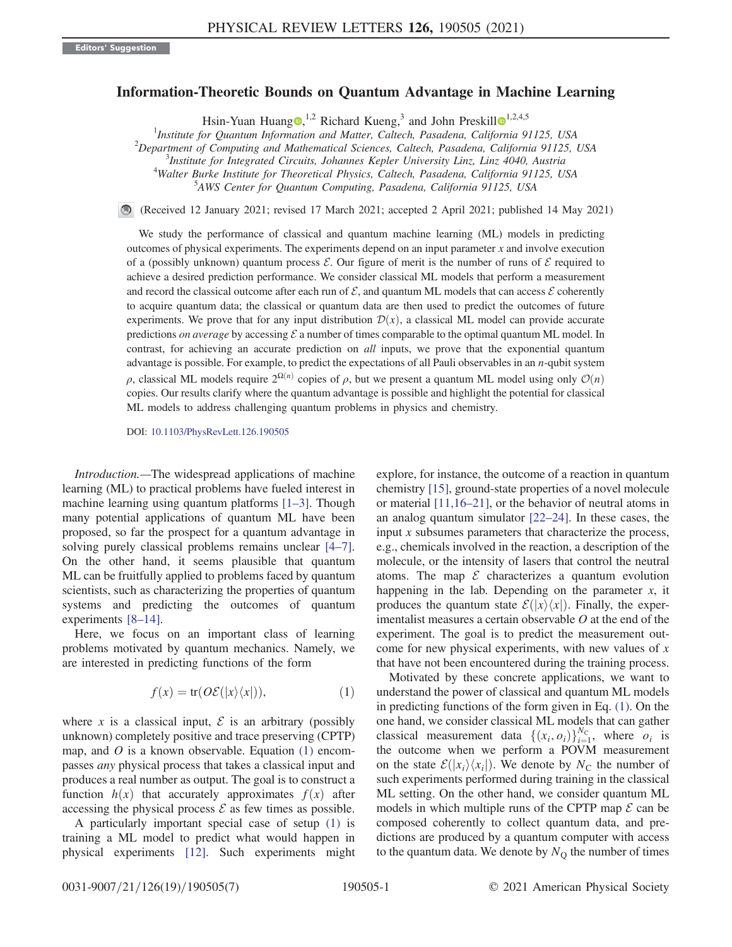## Information-Theoretic Bounds on Quantum Advantage in Machine Learning

Hsin-Yuan Huang  $\mathbf{Q}$ ,<sup>[1](https://orcid.org/0000-0002-2421-4762),2</sup> Richard Kueng,<sup>3</sup> and John Preskill  $\mathbf{Q}^{1,2,4,5}$ 

<sup>1</sup>Institute for Quantum Information and Matter, Caltech, Pasadena, California 91125, USA<br><sup>2</sup>Department of Computing and Mathematical Sciences, Caltech, Pasadena, California 91125

 $^{2}$ Department of Computing and Mathematical Sciences, Caltech, Pasadena, California 91125, USA

<sup>3</sup>Institute for Integrated Circuits, Johannes Kepler University Linz, Linz 4040, Austria <sup>4</sup>Walter Burke Institute for Theoretical Physics, Caltech, Pasadena, California 91125, USA

AWS Center for Quantum Computing, Pasadena, California 91125, USA

(Received 12 January 2021; revised 17 March 2021; accepted 2 April 2021; published 14 May 2021)

We study the performance of classical and quantum machine learning (ML) models in predicting outcomes of physical experiments. The experiments depend on an input parameter  $x$  and involve execution of a (possibly unknown) quantum process  $\mathcal E$ . Our figure of merit is the number of runs of  $\mathcal E$  required to achieve a desired prediction performance. We consider classical ML models that perform a measurement and record the classical outcome after each run of  $\mathcal{E}$ , and quantum ML models that can access  $\mathcal{E}$  coherently to acquire quantum data; the classical or quantum data are then used to predict the outcomes of future experiments. We prove that for any input distribution  $\mathcal{D}(x)$ , a classical ML model can provide accurate predictions *on average* by accessing  $\mathcal E$  a number of times comparable to the optimal quantum ML model. In contrast, for achieving an accurate prediction on *all* inputs, we prove that the exponential quantum advantage is possible. For example, to predict the expectations of all Pauli observables in an  $n$ -qubit system ρ, classical ML models require  $2^{\Omega(n)}$  copies of ρ, but we present a quantum ML model using only  $\mathcal{O}(n)$ copies. Our results clarify where the quantum advantage is possible and highlight the potential for classical ML models to address challenging quantum problems in physics and chemistry.

DOI: [10.1103/PhysRevLett.126.190505](https://doi.org/10.1103/PhysRevLett.126.190505)

Introduction.—The widespread applications of machine learning (ML) to practical problems have fueled interest in machine learning using quantum platforms [1–[3\].](#page-5-0) Though many potential applications of quantum ML have been proposed, so far the prospect for a quantum advantage in solving purely classical problems remains unclear [\[4](#page-5-1)–7]. On the other hand, it seems plausible that quantum ML can be fruitfully applied to problems faced by quantum scientists, such as characterizing the properties of quantum systems and predicting the outcomes of quantum experiments [8–[14\].](#page-5-2)

<span id="page-0-0"></span>Here, we focus on an important class of learning problems motivated by quantum mechanics. Namely, we are interested in predicting functions of the form

$$
f(x) = \text{tr}(O\mathcal{E}(|x\rangle\langle x|)),\tag{1}
$$

where x is a classical input,  $\mathcal E$  is an arbitrary (possibly unknown) completely positive and trace preserving (CPTP) map, and  $O$  is a known observable. Equation  $(1)$  encompasses any physical process that takes a classical input and produces a real number as output. The goal is to construct a function  $h(x)$  that accurately approximates  $f(x)$  after accessing the physical process  $\mathcal E$  as few times as possible.

A particularly important special case of setup [\(1\)](#page-0-0) is training a ML model to predict what would happen in physical experiments [\[12\]](#page-5-3). Such experiments might explore, for instance, the outcome of a reaction in quantum chemistry [\[15\],](#page-5-4) ground-state properties of a novel molecule or material [\[11,16](#page-5-5)–21], or the behavior of neutral atoms in an analog quantum simulator [22–[24\].](#page-6-0) In these cases, the input  $x$  subsumes parameters that characterize the process, e.g., chemicals involved in the reaction, a description of the molecule, or the intensity of lasers that control the neutral atoms. The map  $\mathcal E$  characterizes a quantum evolution happening in the lab. Depending on the parameter  $x$ , it produces the quantum state  $\mathcal{E}(|x\rangle\langle x|)$ . Finally, the experimentalist measures a certain observable  $O$  at the end of the experiment. The goal is to predict the measurement outcome for new physical experiments, with new values of  $x$ that have not been encountered during the training process.

Motivated by these concrete applications, we want to understand the power of classical and quantum ML models in predicting functions of the form given in Eq. [\(1\).](#page-0-0) On the one hand, we consider classical ML models that can gather classical measurement data  $\{(x_i, o_i)\}_{i=1}^{N_C}$ , where  $o_i$  is the outcome when we perform a POVM measurement on the state  $\mathcal{E}(|x_i\rangle\langle x_i|)$ . We denote by  $N_c$  the number of such experiments performed during training in the classical ML setting. On the other hand, we consider quantum ML models in which multiple runs of the CPTP map  $\mathcal E$  can be composed coherently to collect quantum data, and predictions are produced by a quantum computer with access to the quantum data. We denote by  $N_{\rm O}$  the number of times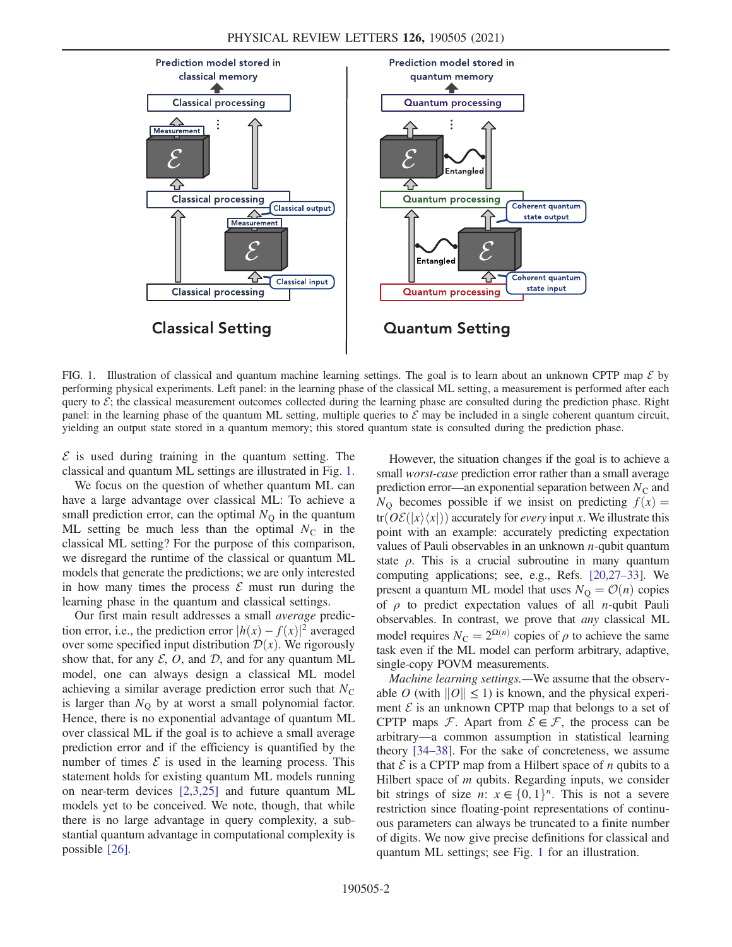<span id="page-1-0"></span>

FIG. 1. Illustration of classical and quantum machine learning settings. The goal is to learn about an unknown CPTP map  $\mathcal E$  by performing physical experiments. Left panel: in the learning phase of the classical ML setting, a measurement is performed after each query to  $\mathcal{E}$ ; the classical measurement outcomes collected during the learning phase are consulted during the prediction phase. Right panel: in the learning phase of the quantum ML setting, multiple queries to  $\mathcal E$  may be included in a single coherent quantum circuit, yielding an output state stored in a quantum memory; this stored quantum state is consulted during the prediction phase.

 $\mathcal E$  is used during training in the quantum setting. The classical and quantum ML settings are illustrated in Fig. [1](#page-1-0).

We focus on the question of whether quantum ML can have a large advantage over classical ML: To achieve a small prediction error, can the optimal  $N_{\rm O}$  in the quantum ML setting be much less than the optimal  $N_c$  in the classical ML setting? For the purpose of this comparison, we disregard the runtime of the classical or quantum ML models that generate the predictions; we are only interested in how many times the process  $\mathcal E$  must run during the learning phase in the quantum and classical settings.

Our first main result addresses a small average prediction error, i.e., the prediction error  $|h(x) - f(x)|^2$  averaged over some specified input distribution  $\mathcal{D}(x)$ . We rigorously show that, for any  $\mathcal{E}$ , O, and  $\mathcal{D}$ , and for any quantum ML model, one can always design a classical ML model achieving a similar average prediction error such that  $N_{\rm C}$ is larger than  $N_{\rm O}$  by at worst a small polynomial factor. Hence, there is no exponential advantage of quantum ML over classical ML if the goal is to achieve a small average prediction error and if the efficiency is quantified by the number of times  $\mathcal E$  is used in the learning process. This statement holds for existing quantum ML models running on near-term devices [\[2,3,25\]](#page-5-6) and future quantum ML models yet to be conceived. We note, though, that while there is no large advantage in query complexity, a substantial quantum advantage in computational complexity is possible [\[26\].](#page-6-1)

However, the situation changes if the goal is to achieve a small worst-case prediction error rather than a small average prediction error—an exponential separation between  $N_{\rm C}$  and  $N_{\Omega}$  becomes possible if we insist on predicting  $f(x) =$  $tr(\partial \mathcal{E}(|x\rangle\langle x|))$  accurately for *every* input x. We illustrate this point with an example: accurately predicting expectation values of Pauli observables in an unknown  $n$ -qubit quantum state  $\rho$ . This is a crucial subroutine in many quantum computing applications; see, e.g., Refs. [\[20,27](#page-6-2)–33]. We present a quantum ML model that uses  $N_{\rm Q} = \mathcal{O}(n)$  copies of  $\rho$  to predict expectation values of all *n*-qubit Pauli observables. In contrast, we prove that any classical ML model requires  $N_{\rm C} = 2^{\Omega(n)}$  copies of  $\rho$  to achieve the same task even if the ML model can perform arbitrary, adaptive, single-copy POVM measurements.

Machine learning settings.—We assume that the observable O (with  $||O|| \le 1$ ) is known, and the physical experiment  $\mathcal E$  is an unknown CPTP map that belongs to a set of CPTP maps  $\mathcal F$ . Apart from  $\mathcal E \in \mathcal F$ , the process can be arbitrary—a common assumption in statistical learning theory [\[34](#page-6-3)–38]. For the sake of concreteness, we assume that  $\mathcal E$  is a CPTP map from a Hilbert space of *n* qubits to a Hilbert space of  $m$  qubits. Regarding inputs, we consider bit strings of size *n*:  $x \in \{0, 1\}^n$ . This is not a severe restriction since floating-point representations of continuous parameters can always be truncated to a finite number of digits. We now give precise definitions for classical and quantum ML settings; see Fig. [1](#page-1-0) for an illustration.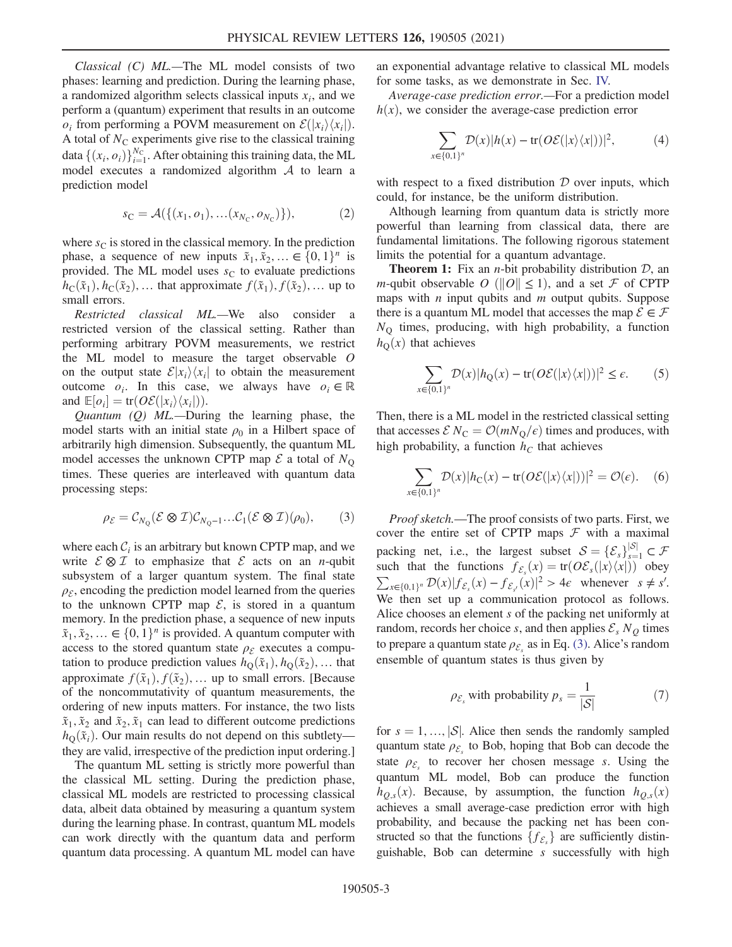Classical (C) ML.—The ML model consists of two phases: learning and prediction. During the learning phase, a randomized algorithm selects classical inputs  $x_i$ , and we perform a (quantum) experiment that results in an outcome  $o_i$  from performing a POVM measurement on  $\mathcal{E}(|x_i\rangle\langle x_i|)$ . A total of  $N<sub>C</sub>$  experiments give rise to the classical training data  $\{(x_i, o_i)\}_{i=1}^{N_C}$ . After obtaining this training data, the ML<br>model, executes, a randomized algorithm A to learn a model executes a randomized algorithm  $A$  to learn a prediction model

$$
s_{\mathcal{C}} = \mathcal{A}(\{(x_1, o_1), \dots (x_{N_{\mathcal{C}}}, o_{N_{\mathcal{C}}})\}),\tag{2}
$$

where  $s<sub>C</sub>$  is stored in the classical memory. In the prediction phase, a sequence of new inputs  $\tilde{x}_1, \tilde{x}_2, \dots \in \{0, 1\}^n$  is provided. The ML model uses  $s<sub>C</sub>$  to evaluate predictions  $h_{\mathcal{C}}(\tilde{x}_1), h_{\mathcal{C}}(\tilde{x}_2), \dots$  that approximate  $f(\tilde{x}_1), f(\tilde{x}_2), \dots$  up to small errors.

Restricted classical ML.—We also consider a restricted version of the classical setting. Rather than performing arbitrary POVM measurements, we restrict the ML model to measure the target observable O on the output state  $\mathcal{E}|x_i\rangle\langle x_i|$  to obtain the measurement outcome  $o_i$ . In this case, we always have  $o_i \in \mathbb{R}$ and  $\mathbb{E}[o_i] = \text{tr}(O\mathcal{E}(|x_i\rangle\langle x_i|)).$ <br>*Quantum (Q) MI* — Duri

*Quantum (Q) ML*.—During the learning phase, the model starts with an initial state  $\rho_0$  in a Hilbert space of arbitrarily high dimension. Subsequently, the quantum ML model accesses the unknown CPTP map  $\mathcal E$  a total of  $N_{\rm O}$ times. These queries are interleaved with quantum data processing steps:

<span id="page-2-0"></span>
$$
\rho_{\mathcal{E}} = \mathcal{C}_{N_Q}(\mathcal{E} \otimes \mathcal{I}) \mathcal{C}_{N_Q-1} \dots \mathcal{C}_1(\mathcal{E} \otimes \mathcal{I})(\rho_0), \qquad (3)
$$

where each  $C_i$  is an arbitrary but known CPTP map, and we write  $\mathcal{E} \otimes \mathcal{I}$  to emphasize that  $\mathcal{E}$  acts on an *n*-qubit subsystem of a larger quantum system. The final state  $\rho_{\mathcal{E}}$ , encoding the prediction model learned from the queries to the unknown CPTP map  $\mathcal{E}$ , is stored in a quantum memory. In the prediction phase, a sequence of new inputs  $\tilde{x}_1, \tilde{x}_2, \ldots \in \{0, 1\}^n$  is provided. A quantum computer with access to the stored quantum state  $\rho_{\mathcal{E}}$  executes a computation to produce prediction values  $h_{\text{Q}}(\tilde{x}_1), h_{\text{Q}}(\tilde{x}_2), \dots$  that approximate  $f(\tilde{x}_1), f(\tilde{x}_2), \ldots$  up to small errors. [Because of the noncommutativity of quantum measurements, the ordering of new inputs matters. For instance, the two lists  $\tilde{x}_1, \tilde{x}_2$  and  $\tilde{x}_2, \tilde{x}_1$  can lead to different outcome predictions  $h_{\text{O}}(\tilde{x}_i)$ . Our main results do not depend on this subtlety they are valid, irrespective of the prediction input ordering.]

The quantum ML setting is strictly more powerful than the classical ML setting. During the prediction phase, classical ML models are restricted to processing classical data, albeit data obtained by measuring a quantum system during the learning phase. In contrast, quantum ML models can work directly with the quantum data and perform quantum data processing. A quantum ML model can have an exponential advantage relative to classical ML models for some tasks, as we demonstrate in Sec. [IV.](#page-3-0)

Average-case prediction error.—For a prediction model  $h(x)$ , we consider the average-case prediction error

$$
\sum_{x \in \{0,1\}^n} \mathcal{D}(x) |h(x) - \text{tr}(O\mathcal{E}(|x\rangle\langle x|))|^2, \tag{4}
$$

with respect to a fixed distribution  $D$  over inputs, which could, for instance, be the uniform distribution.

Although learning from quantum data is strictly more powerful than learning from classical data, there are fundamental limitations. The following rigorous statement limits the potential for a quantum advantage.

**Theorem 1:** Fix an *n*-bit probability distribution  $D$ , an *m*-qubit observable O ( $||O|| \le 1$ ), and a set F of CPTP maps with  $n$  input qubits and  $m$  output qubits. Suppose there is a quantum ML model that accesses the map  $\mathcal{E} \in \mathcal{F}$  $N_Q$  times, producing, with high probability, a function  $h_{\Omega}(x)$  that achieves

$$
\sum_{x \in \{0,1\}^n} \mathcal{D}(x) |h_Q(x) - \text{tr}(O\mathcal{E}(|x\rangle\langle x|))|^2 \le \epsilon. \tag{5}
$$

Then, there is a ML model in the restricted classical setting that accesses  $\mathcal{E} N_C = \mathcal{O}(mN_O/\epsilon)$  times and produces, with high probability, a function  $h<sub>C</sub>$  that achieves

$$
\sum_{x \in \{0,1\}^n} \mathcal{D}(x) |h_C(x) - \text{tr}(O\mathcal{E}(|x\rangle\langle x|))|^2 = \mathcal{O}(\epsilon). \quad (6)
$$

Proof sketch.—The proof consists of two parts. First, we cover the entire set of CPTP maps  $F$  with a maximal packing net, i.e., the largest subset  $S = {\{\mathcal{E}_s\}}_{s=1}^{|S|} \subset \mathcal{F}$ <br>such that the functions  $f_{\infty}(x) = tr(\Omega \mathcal{E}(|x|/|x|))$  obey such that the functions  $f_{\mathcal{E}_s}(x) = \text{tr}(O\mathcal{E}_s(|x\rangle\langle x|))$  obey  $\sum_{x \in \{0,1\}^n} \mathcal{D}(x) |f_{\mathcal{E}_s}(x) - f_{\mathcal{E}_s}(x)|^2 > 4\epsilon$  whenever  $s \neq s'$ . We then set up a communication protocol as follows. Alice chooses an element s of the packing net uniformly at random, records her choice s, and then applies  $\mathcal{E}_s N_Q$  times to prepare a quantum state  $\rho_{\mathcal{E}_s}$  as in Eq. [\(3\).](#page-2-0) Alice's random ensemble of quantum states is thus given by

<span id="page-2-1"></span>
$$
\rho_{\mathcal{E}_s} \text{ with probability } p_s = \frac{1}{|\mathcal{S}|} \tag{7}
$$

for  $s = 1, ..., |\mathcal{S}|$ . Alice then sends the randomly sampled quantum state  $\rho_{\mathcal{E}_s}$  to Bob, hoping that Bob can decode the state  $\rho_{\mathcal{E}_s}$  to recover her chosen message s. Using the quantum ML model, Bob can produce the function  $h_{Q,s}(x)$ . Because, by assumption, the function  $h_{Q,s}(x)$ achieves a small average-case prediction error with high probability, and because the packing net has been constructed so that the functions  $\{f_{\mathcal{E}_s}\}\$  are sufficiently distin-<br>quichable. Bob can determine s successfully with high guishable, Bob can determine s successfully with high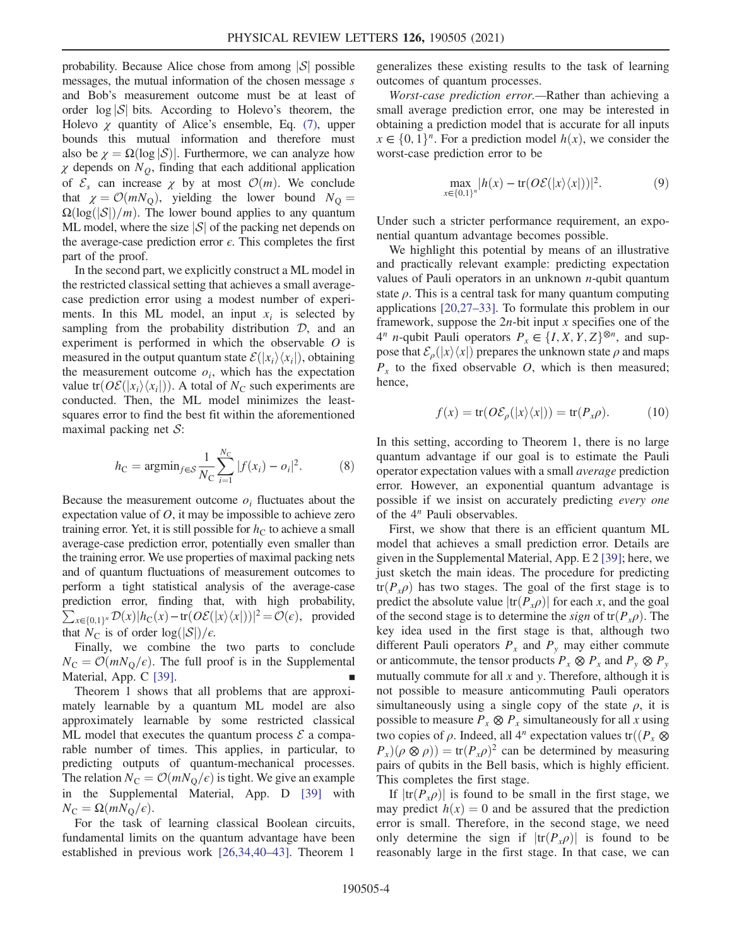probability. Because Alice chose from among  $|S|$  possible messages, the mutual information of the chosen message s and Bob's measurement outcome must be at least of order  $\log |\mathcal{S}|$  bits. According to Holevo's theorem, the Holevo  $\chi$  quantity of Alice's ensemble, Eq. [\(7\)](#page-2-1), upper bounds this mutual information and therefore must also be  $\chi = \Omega(\log |\mathcal{S})|$ . Furthermore, we can analyze how  $\chi$  depends on  $N_Q$ , finding that each additional application of  $\mathcal{E}_s$  can increase  $\chi$  by at most  $\mathcal{O}(m)$ . We conclude that  $\chi = \mathcal{O}(mN_0)$ , yielding the lower bound  $N_0 =$  $\Omega(\log(|\mathcal{S}|)/m)$ . The lower bound applies to any quantum ML model, where the size  $|S|$  of the packing net depends on the average-case prediction error  $\epsilon$ . This completes the first part of the proof.

In the second part, we explicitly construct a ML model in the restricted classical setting that achieves a small averagecase prediction error using a modest number of experiments. In this ML model, an input  $x_i$  is selected by sampling from the probability distribution  $D$ , and an experiment is performed in which the observable O is measured in the output quantum state  $\mathcal{E}(|x_i\rangle\langle x_i|)$ , obtaining the measurement outcome  $o_i$ , which has the expectation value tr $(OE(|x_i\rangle\langle x_i|))$ . A total of N<sub>C</sub> such experiments are conducted. Then, the ML model minimizes the leastsquares error to find the best fit within the aforementioned maximal packing net  $S$ :

$$
h_{\rm C} = \operatorname{argmin}_{f \in S} \frac{1}{N_{\rm C}} \sum_{i=1}^{N_{\rm C}} |f(x_i) - o_i|^2. \tag{8}
$$

Because the measurement outcome  $o_i$  fluctuates about the expectation value of  $O$ , it may be impossible to achieve zero training error. Yet, it is still possible for  $h<sub>C</sub>$  to achieve a small average-case prediction error, potentially even smaller than the training error. We use properties of maximal packing nets and of quantum fluctuations of measurement outcomes to perform a tight statistical analysis of the average-case prediction error, finding that, with high probability,  $\sum_{x\in\{0,1\}^n} \mathcal{D}(x)|h_C(x)-\text{tr}(O\mathcal{E}(|x\rangle\langle x|))|^2 = \mathcal{O}(\epsilon)$ , provided that  $N_{\rm C}$  is of order  $\log(|\mathcal{S}|)/\epsilon$ .

Finally, we combine the two parts to conclude  $N_{\rm C} = \mathcal{O}(mN_{\rm O}/\epsilon)$ . The full proof is in the Supplemental Material, App. C [\[39\]](#page-6-4).

Theorem 1 shows that all problems that are approximately learnable by a quantum ML model are also approximately learnable by some restricted classical ML model that executes the quantum process  $\mathcal E$  a comparable number of times. This applies, in particular, to predicting outputs of quantum-mechanical processes. The relation  $N_{\rm C} = \mathcal{O}(mN_{\rm O}/\epsilon)$  is tight. We give an example in the Supplemental Material, App. D [\[39\]](#page-6-4) with  $N_{\rm C} = \Omega(mN_{\rm O}/\epsilon)$ .

For the task of learning classical Boolean circuits, fundamental limits on the quantum advantage have been established in previous work [\[26,34,40](#page-6-1)–43]. Theorem 1

generalizes these existing results to the task of learning outcomes of quantum processes.

<span id="page-3-0"></span>Worst-case prediction error.—Rather than achieving a small average prediction error, one may be interested in obtaining a prediction model that is accurate for all inputs  $x \in \{0, 1\}^n$ . For a prediction model  $h(x)$ , we consider the worst-case prediction error to be

$$
\max_{x \in \{0,1\}^n} |h(x) - \text{tr}(O\mathcal{E}(|x\rangle\langle x|))|^2. \tag{9}
$$

Under such a stricter performance requirement, an exponential quantum advantage becomes possible.

We highlight this potential by means of an illustrative and practically relevant example: predicting expectation values of Pauli operators in an unknown  $n$ -qubit quantum state  $\rho$ . This is a central task for many quantum computing applications [\[20,27](#page-6-2)–33]. To formulate this problem in our framework, suppose the  $2n$ -bit input x specifies one of the 4<sup>n</sup> n-qubit Pauli operators  $P_x \in \{I, X, Y, Z\}^{\otimes n}$ , and suppose that  $\mathcal{E}_{\rho}(|x\rangle\langle x|)$  prepares the unknown state  $\rho$  and maps  $P_x$  to the fixed observable O, which is then measured; hence,

$$
f(x) = \text{tr}(O\mathcal{E}_{\rho}(|x\rangle\langle x|)) = \text{tr}(P_{x}\rho).
$$
 (10)

In this setting, according to Theorem 1, there is no large quantum advantage if our goal is to estimate the Pauli operator expectation values with a small average prediction error. However, an exponential quantum advantage is possible if we insist on accurately predicting every one of the  $4^n$  Pauli observables.

First, we show that there is an efficient quantum ML model that achieves a small prediction error. Details are given in the Supplemental Material, App. E 2 [\[39\]](#page-6-4); here, we just sketch the main ideas. The procedure for predicting  $tr(P_x \rho)$  has two stages. The goal of the first stage is to predict the absolute value  $|\text{tr}(P_x \rho)|$  for each x, and the goal of the second stage is to determine the *sign* of  $tr(P_x \rho)$ . The key idea used in the first stage is that, although two different Pauli operators  $P_x$  and  $P_y$  may either commute or anticommute, the tensor products  $P_x \otimes P_x$  and  $P_y \otimes P_y$ mutually commute for all  $x$  and  $y$ . Therefore, although it is not possible to measure anticommuting Pauli operators simultaneously using a single copy of the state  $\rho$ , it is possible to measure  $P_x \otimes P_x$  simultaneously for all x using two copies of  $\rho$ . Indeed, all 4<sup>n</sup> expectation values tr $\left(\left(P_x \otimes$  $P_r(\rho \otimes \rho) = \text{tr}(P_r \rho)^2$  can be determined by measuring pairs of qubits in the Bell basis, which is highly efficient. This completes the first stage.

If  $|\text{tr}(P_x \rho)|$  is found to be small in the first stage, we may predict  $h(x) = 0$  and be assured that the prediction error is small. Therefore, in the second stage, we need only determine the sign if  $|\text{tr}(P_x \rho)|$  is found to be reasonably large in the first stage. In that case, we can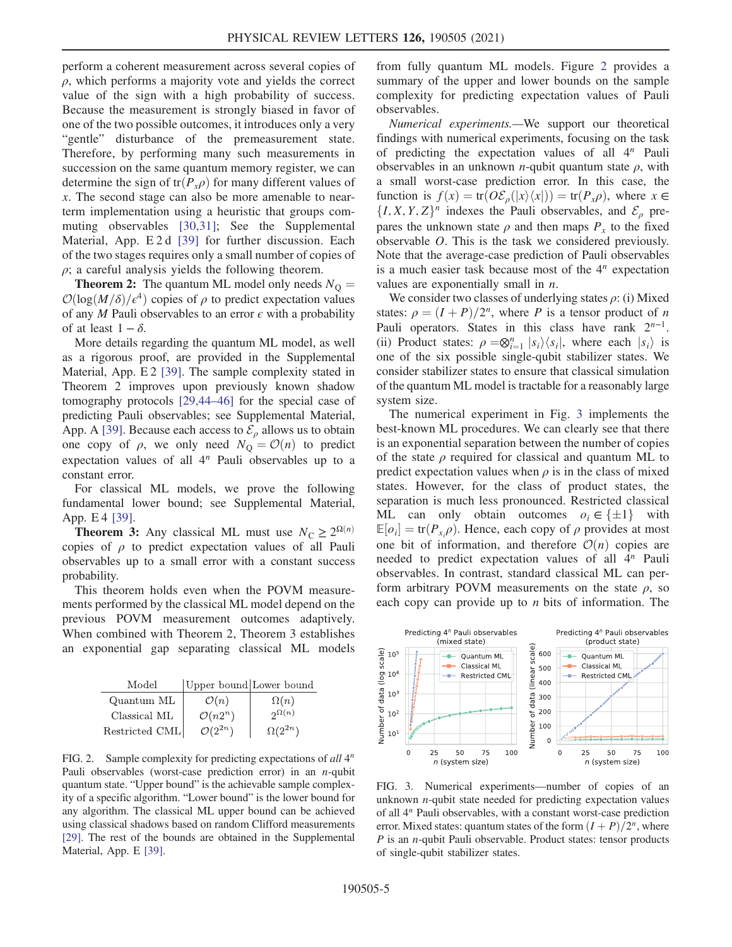perform a coherent measurement across several copies of  $\rho$ , which performs a majority vote and yields the correct value of the sign with a high probability of success. Because the measurement is strongly biased in favor of one of the two possible outcomes, it introduces only a very "gentle" disturbance of the premeasurement state. Therefore, by performing many such measurements in succession on the same quantum memory register, we can determine the sign of tr $(P_x \rho)$  for many different values of x. The second stage can also be more amenable to nearterm implementation using a heuristic that groups commuting observables [\[30,31\];](#page-6-5) See the Supplemental Material, App. E 2 d [\[39\]](#page-6-4) for further discussion. Each of the two stages requires only a small number of copies of  $\rho$ ; a careful analysis yields the following theorem.

**Theorem 2:** The quantum ML model only needs  $N_{\Omega} =$  $\mathcal{O}(\log(M/\delta)/\epsilon^4)$  copies of  $\rho$  to predict expectation values of any M Pauli observables to an error  $\epsilon$  with a probability of at least  $1 - \delta$ .

More details regarding the quantum ML model, as well as a rigorous proof, are provided in the Supplemental Material, App. E 2 [\[39\].](#page-6-4) The sample complexity stated in Theorem 2 improves upon previously known shadow tomography protocols [\[29,44](#page-6-6)–46] for the special case of predicting Pauli observables; see Supplemental Material, App. A [\[39\].](#page-6-4) Because each access to  $\mathcal{E}_{\rho}$  allows us to obtain one copy of  $\rho$ , we only need  $N_Q = \mathcal{O}(n)$  to predict expectation values of all  $4^n$  Pauli observables up to a constant error.

For classical ML models, we prove the following fundamental lower bound; see Supplemental Material, App. E 4 [\[39\].](#page-6-4)

**Theorem 3:** Any classical ML must use  $N_C \ge 2^{\Omega(n)}$ copies of  $\rho$  to predict expectation values of all Pauli observables up to a small error with a constant success probability.

This theorem holds even when the POVM measurements performed by the classical ML model depend on the previous POVM measurement outcomes adaptively. When combined with Theorem 2, Theorem 3 establishes an exponential gap separating classical ML models

| Model          | Upper bound Lower bound |                  |
|----------------|-------------------------|------------------|
| Quantum ML     | $\mathcal{O}(n)$        | $\Omega(n)$      |
| Classical ML   | $\mathcal{O}(n2^n)$     | $2^{\Omega(n)}$  |
| Restricted CML | $\mathcal{O}(2^{2n})$   | $\Omega(2^{2n})$ |

FIG. 2. Sample complexity for predicting expectations of all  $4^n$ Pauli observables (worst-case prediction error) in an  $n$ -qubit quantum state. "Upper bound" is the achievable sample complexity of a specific algorithm. "Lower bound" is the lower bound for any algorithm. The classical ML upper bound can be achieved using classical shadows based on random Clifford measurements [\[29\].](#page-6-6) The rest of the bounds are obtained in the Supplemental Material, App. E [\[39\]](#page-6-4).

from fully quantum ML models. Figure [2](#page-1-0) provides a summary of the upper and lower bounds on the sample complexity for predicting expectation values of Pauli observables.

Numerical experiments.—We support our theoretical findings with numerical experiments, focusing on the task of predicting the expectation values of all  $4^n$  Pauli observables in an unknown *n*-qubit quantum state  $\rho$ , with a small worst-case prediction error. In this case, the function is  $f(x) = \text{tr}(O\mathcal{E}_{\rho}(|x\rangle\langle x|)) = \text{tr}(P_x \rho)$ , where  $x \in$  $\{I, X, Y, Z\}^n$  indexes the Pauli observables, and  $\mathcal{E}_{\rho}$  prepares the unknown state  $\rho$  and then maps  $P_r$  to the fixed observable O. This is the task we considered previously. Note that the average-case prediction of Pauli observables is a much easier task because most of the  $4<sup>n</sup>$  expectation values are exponentially small in  $n$ .

We consider two classes of underlying states  $\rho$ : (i) Mixed states:  $\rho = (I + P)/2^n$ , where P is a tensor product of n Pauli operators. States in this class have rank  $2^{n-1}$ . (ii) Product states:  $\rho = \otimes_{i=1}^{n} |s_i\rangle\langle s_i|$ , where each  $|s_i\rangle$  is one of the six possible single-qubit stabilizer states. We one of the six possible single-qubit stabilizer states. We consider stabilizer states to ensure that classical simulation of the quantum ML model is tractable for a reasonably large system size.

The numerical experiment in Fig. [3](#page-4-0) implements the best-known ML procedures. We can clearly see that there is an exponential separation between the number of copies of the state  $\rho$  required for classical and quantum ML to predict expectation values when  $\rho$  is in the class of mixed states. However, for the class of product states, the separation is much less pronounced. Restricted classical ML can only obtain outcomes  $o_i \in \{\pm 1\}$  with  $\mathbb{E}[o_i] = \text{tr}(P_{x_i}\rho)$ . Hence, each copy of  $\rho$  provides at most<br>one bit of information, and therefore  $\mathcal{O}(n)$  copies are one bit of information, and therefore  $\mathcal{O}(n)$  copies are needed to predict expectation values of all  $4^n$  Pauli observables. In contrast, standard classical ML can perform arbitrary POVM measurements on the state  $\rho$ , so each copy can provide up to *n* bits of information. The

<span id="page-4-0"></span>

FIG. 3. Numerical experiments—number of copies of an unknown  $n$ -qubit state needed for predicting expectation values of all 4<sup>n</sup> Pauli observables, with a constant worst-case prediction error. Mixed states: quantum states of the form  $(I + P)/2^n$ , where P is an n-qubit Pauli observable. Product states: tensor products of single-qubit stabilizer states.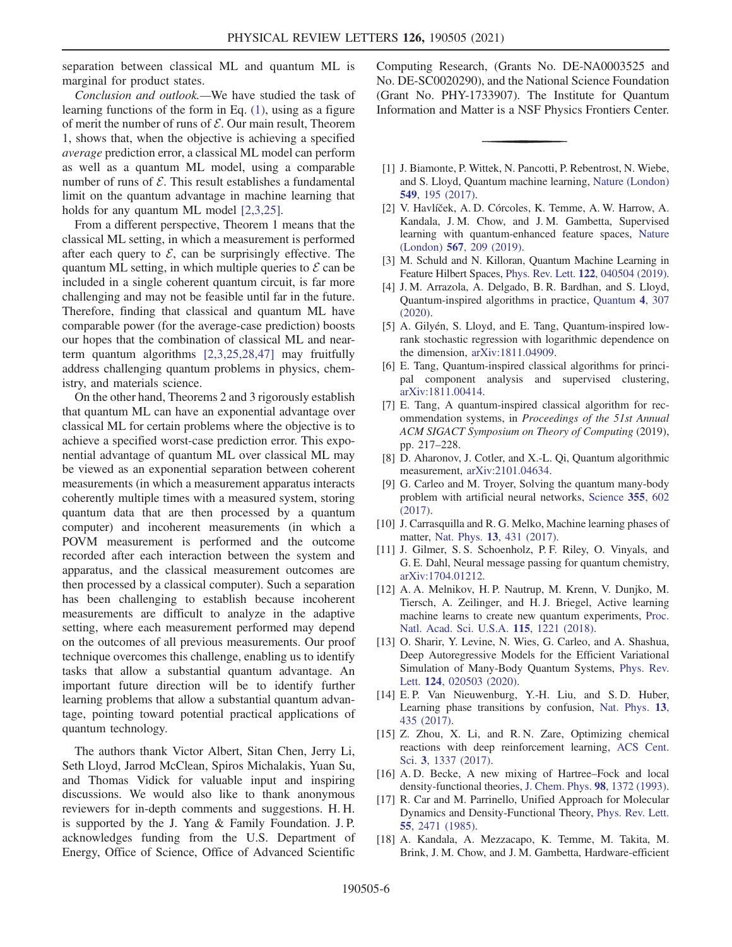separation between classical ML and quantum ML is marginal for product states.

Conclusion and outlook.—We have studied the task of learning functions of the form in Eq. [\(1\),](#page-0-0) using as a figure of merit the number of runs of  $\mathcal E$ . Our main result, Theorem 1, shows that, when the objective is achieving a specified average prediction error, a classical ML model can perform as well as a quantum ML model, using a comparable number of runs of  $\mathcal E$ . This result establishes a fundamental limit on the quantum advantage in machine learning that holds for any quantum ML model [\[2,3,25\].](#page-5-6)

From a different perspective, Theorem 1 means that the classical ML setting, in which a measurement is performed after each query to  $\mathcal{E}$ , can be surprisingly effective. The quantum ML setting, in which multiple queries to  $\mathcal E$  can be included in a single coherent quantum circuit, is far more challenging and may not be feasible until far in the future. Therefore, finding that classical and quantum ML have comparable power (for the average-case prediction) boosts our hopes that the combination of classical ML and nearterm quantum algorithms [\[2,3,25,28,47\]](#page-5-6) may fruitfully address challenging quantum problems in physics, chemistry, and materials science.

On the other hand, Theorems 2 and 3 rigorously establish that quantum ML can have an exponential advantage over classical ML for certain problems where the objective is to achieve a specified worst-case prediction error. This exponential advantage of quantum ML over classical ML may be viewed as an exponential separation between coherent measurements (in which a measurement apparatus interacts coherently multiple times with a measured system, storing quantum data that are then processed by a quantum computer) and incoherent measurements (in which a POVM measurement is performed and the outcome recorded after each interaction between the system and apparatus, and the classical measurement outcomes are then processed by a classical computer). Such a separation has been challenging to establish because incoherent measurements are difficult to analyze in the adaptive setting, where each measurement performed may depend on the outcomes of all previous measurements. Our proof technique overcomes this challenge, enabling us to identify tasks that allow a substantial quantum advantage. An important future direction will be to identify further learning problems that allow a substantial quantum advantage, pointing toward potential practical applications of quantum technology.

The authors thank Victor Albert, Sitan Chen, Jerry Li, Seth Lloyd, Jarrod McClean, Spiros Michalakis, Yuan Su, and Thomas Vidick for valuable input and inspiring discussions. We would also like to thank anonymous reviewers for in-depth comments and suggestions. H. H. is supported by the J. Yang & Family Foundation. J. P. acknowledges funding from the U.S. Department of Energy, Office of Science, Office of Advanced Scientific

Computing Research, (Grants No. DE-NA0003525 and No. DE-SC0020290), and the National Science Foundation (Grant No. PHY-1733907). The Institute for Quantum Information and Matter is a NSF Physics Frontiers Center.

- <span id="page-5-0"></span>[1] J. Biamonte, P. Wittek, N. Pancotti, P. Rebentrost, N. Wiebe, and S. Lloyd, Quantum machine learning, [Nature \(London\)](https://doi.org/10.1038/nature23474) 549[, 195 \(2017\)](https://doi.org/10.1038/nature23474).
- <span id="page-5-6"></span>[2] V. Havlíček, A. D. Córcoles, K. Temme, A. W. Harrow, A. Kandala, J. M. Chow, and J. M. Gambetta, Supervised learning with quantum-enhanced feature spaces, [Nature](https://doi.org/10.1038/s41586-019-0980-2) (London) 567[, 209 \(2019\)](https://doi.org/10.1038/s41586-019-0980-2).
- <span id="page-5-1"></span>[3] M. Schuld and N. Killoran, Quantum Machine Learning in Feature Hilbert Spaces, Phys. Rev. Lett. 122[, 040504 \(2019\).](https://doi.org/10.1103/PhysRevLett.122.040504)
- [4] J. M. Arrazola, A. Delgado, B. R. Bardhan, and S. Lloyd, Quantum-inspired algorithms in practice, [Quantum](https://doi.org/10.22331/q-2020-08-13-307) 4, 307 [\(2020\).](https://doi.org/10.22331/q-2020-08-13-307)
- [5] A. Gilyén, S. Lloyd, and E. Tang, Quantum-inspired lowrank stochastic regression with logarithmic dependence on the dimension, [arXiv:1811.04909.](https://arXiv.org/abs/1811.04909)
- [6] E. Tang, Quantum-inspired classical algorithms for principal component analysis and supervised clustering, [arXiv:1811.00414.](https://arXiv.org/abs/1811.00414)
- [7] E. Tang, A quantum-inspired classical algorithm for recommendation systems, in Proceedings of the 51st Annual ACM SIGACT Symposium on Theory of Computing (2019), pp. 217–228.
- <span id="page-5-2"></span>[8] D. Aharonov, J. Cotler, and X.-L. Qi, Quantum algorithmic measurement, [arXiv:2101.04634.](https://arXiv.org/abs/2101.04634)
- [9] G. Carleo and M. Troyer, Solving the quantum many-body problem with artificial neural networks, [Science](https://doi.org/10.1126/science.aag2302) 355, 602 [\(2017\).](https://doi.org/10.1126/science.aag2302)
- <span id="page-5-5"></span>[10] J. Carrasquilla and R. G. Melko, Machine learning phases of matter, Nat. Phys. 13[, 431 \(2017\)](https://doi.org/10.1038/nphys4035).
- [11] J. Gilmer, S. S. Schoenholz, P. F. Riley, O. Vinyals, and G. E. Dahl, Neural message passing for quantum chemistry, [arXiv:1704.01212.](https://arXiv.org/abs/1704.01212)
- <span id="page-5-3"></span>[12] A. A. Melnikov, H. P. Nautrup, M. Krenn, V. Dunjko, M. Tiersch, A. Zeilinger, and H. J. Briegel, Active learning machine learns to create new quantum experiments, [Proc.](https://doi.org/10.1073/pnas.1714936115) [Natl. Acad. Sci. U.S.A.](https://doi.org/10.1073/pnas.1714936115) 115, 1221 (2018).
- [13] O. Sharir, Y. Levine, N. Wies, G. Carleo, and A. Shashua, Deep Autoregressive Models for the Efficient Variational Simulation of Many-Body Quantum Systems, [Phys. Rev.](https://doi.org/10.1103/PhysRevLett.124.020503) Lett. 124[, 020503 \(2020\)](https://doi.org/10.1103/PhysRevLett.124.020503).
- [14] E. P. Van Nieuwenburg, Y.-H. Liu, and S. D. Huber, Learning phase transitions by confusion, [Nat. Phys.](https://doi.org/10.1038/nphys4037) 13, [435 \(2017\)](https://doi.org/10.1038/nphys4037).
- <span id="page-5-4"></span>[15] Z. Zhou, X. Li, and R. N. Zare, Optimizing chemical reactions with deep reinforcement learning, [ACS Cent.](https://doi.org/10.1021/acscentsci.7b00492) Sci. 3[, 1337 \(2017\)](https://doi.org/10.1021/acscentsci.7b00492).
- [16] A. D. Becke, A new mixing of Hartree–Fock and local density-functional theories, [J. Chem. Phys.](https://doi.org/10.1063/1.464304) 98, 1372 (1993).
- [17] R. Car and M. Parrinello, Unified Approach for Molecular Dynamics and Density-Functional Theory, [Phys. Rev. Lett.](https://doi.org/10.1103/PhysRevLett.55.2471) 55[, 2471 \(1985\)](https://doi.org/10.1103/PhysRevLett.55.2471).
- [18] A. Kandala, A. Mezzacapo, K. Temme, M. Takita, M. Brink, J. M. Chow, and J. M. Gambetta, Hardware-efficient